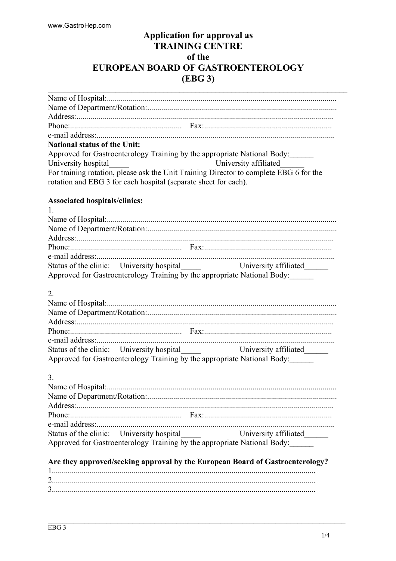# Application for approval as TRAINING CENTRE of the EUROPEAN BOARD OF GASTROENTEROLOGY  $(EBG3)$

| <b>National status of the Unit:</b>                                                             |
|-------------------------------------------------------------------------------------------------|
| Approved for Gastroenterology Training by the appropriate National Body:                        |
| University affiliated<br>University hospital<br><u> 1980 - John Stein Bernstein, syntantist</u> |
| For training rotation, please ask the Unit Training Director to complete EBG 6 for the          |
| rotation and EBG 3 for each hospital (separate sheet for each).                                 |
|                                                                                                 |
| <b>Associated hospitals/clinics:</b>                                                            |
|                                                                                                 |
|                                                                                                 |
|                                                                                                 |
|                                                                                                 |
|                                                                                                 |
|                                                                                                 |
|                                                                                                 |
| Approved for Gastroenterology Training by the appropriate National Body:                        |
|                                                                                                 |
| 2.                                                                                              |
|                                                                                                 |
|                                                                                                 |
|                                                                                                 |
|                                                                                                 |
|                                                                                                 |
|                                                                                                 |
| Approved for Gastroenterology Training by the appropriate National Body:                        |
|                                                                                                 |
| 3 <sub>1</sub>                                                                                  |
|                                                                                                 |
|                                                                                                 |
|                                                                                                 |
|                                                                                                 |
|                                                                                                 |
|                                                                                                 |
| Approved for Gastroenterology Training by the appropriate National Body:                        |
|                                                                                                 |
| Are they approved/seeking approval by the European Board of Gastroenterology?                   |
|                                                                                                 |
|                                                                                                 |
|                                                                                                 |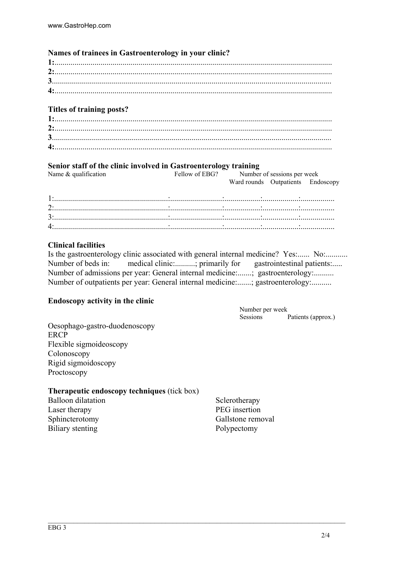# **Names of trainees in Gastroenterology in your clinic?**

# **Titles of training posts?**

## **Senior staff of the clinic involved in Gastroenterology training**

| Name & qualification |                                                | Fellow of EBG? Number of sessions per week |                                   |  |
|----------------------|------------------------------------------------|--------------------------------------------|-----------------------------------|--|
|                      |                                                |                                            | Ward rounds Outpatients Endoscopy |  |
|                      | and the state of the state of the state of the |                                            |                                   |  |
|                      |                                                |                                            |                                   |  |
|                      |                                                |                                            |                                   |  |

3:.........................................................:..........................:..................:..................:................. 4:.........................................................:..........................:..................:..................:.................

#### **Clinical facilities**

| Is the gastroenterology clinic associated with general internal medicine? Yes No: |                                                           |  |  |
|-----------------------------------------------------------------------------------|-----------------------------------------------------------|--|--|
| Number of beds in:                                                                | medical clinic:; primarily for gastrointestinal patients: |  |  |
| Number of admissions per year: General internal medicine:; gastroenterology:      |                                                           |  |  |
| Number of outpatients per year: General internal medicine:; gastroenterology:     |                                                           |  |  |

 $\mathcal{L}_\mathcal{L} = \{ \mathcal{L}_\mathcal{L} = \{ \mathcal{L}_\mathcal{L} = \{ \mathcal{L}_\mathcal{L} = \{ \mathcal{L}_\mathcal{L} = \{ \mathcal{L}_\mathcal{L} = \{ \mathcal{L}_\mathcal{L} = \{ \mathcal{L}_\mathcal{L} = \{ \mathcal{L}_\mathcal{L} = \{ \mathcal{L}_\mathcal{L} = \{ \mathcal{L}_\mathcal{L} = \{ \mathcal{L}_\mathcal{L} = \{ \mathcal{L}_\mathcal{L} = \{ \mathcal{L}_\mathcal{L} = \{ \mathcal{L}_\mathcal{$ 

## **Endoscopy activity in the clinic**

|                 | Number per week    |  |
|-----------------|--------------------|--|
| <b>Sessions</b> | Patients (approx.) |  |

Oesophago-gastro-duodenoscopy **ERCP** Flexible sigmoideoscopy Colonoscopy Rigid sigmoidoscopy Proctoscopy

## **Therapeutic endoscopy techniques** (tick box)

| <b>Balloon</b> dilatation |
|---------------------------|
| Laser therapy             |
| Sphincterotomy            |
| <b>Biliary stenting</b>   |

Sclerotherapy PEG insertion Gallstone removal Polypectomy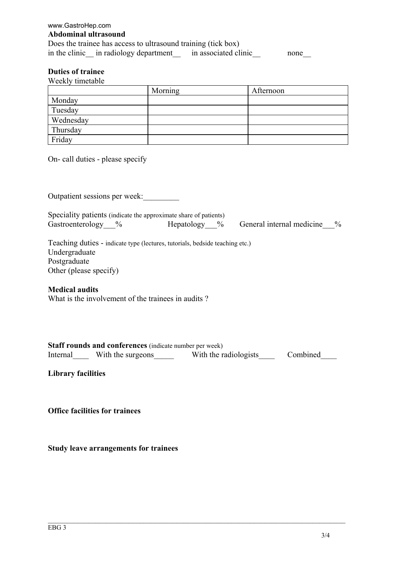| www.GastroHep.com    |                                                               |                      |      |
|----------------------|---------------------------------------------------------------|----------------------|------|
| Abdominal ultrasound |                                                               |                      |      |
|                      | Does the trainee has access to ultrasound training (tick box) |                      |      |
|                      | in the clinic in radiology department                         | in associated clinic | none |

#### **Duties of trainee**

Weekly timetable Morning Afternoon Monday Tuesday Wednesday Thursday Friday

On- call duties - please specify

Outpatient sessions per week: Speciality patients (indicate the approximate share of patients)<br>Gastroenterology % Hepatology % Hepatology  $\%$  General internal medicine  $\%$ Teaching duties - indicate type (lectures, tutorials, bedside teaching etc.) Undergraduate Postgraduate Other (please specify) **Medical audits** What is the involvement of the trainees in audits?

| <b>Staff rounds and conferences</b> (indicate number per week) |                   |                       |          |  |  |  |
|----------------------------------------------------------------|-------------------|-----------------------|----------|--|--|--|
| Internal                                                       | With the surgeons | With the radiologists | Combined |  |  |  |

 $\mathcal{L}_\mathcal{L} = \{ \mathcal{L}_\mathcal{L} = \{ \mathcal{L}_\mathcal{L} = \{ \mathcal{L}_\mathcal{L} = \{ \mathcal{L}_\mathcal{L} = \{ \mathcal{L}_\mathcal{L} = \{ \mathcal{L}_\mathcal{L} = \{ \mathcal{L}_\mathcal{L} = \{ \mathcal{L}_\mathcal{L} = \{ \mathcal{L}_\mathcal{L} = \{ \mathcal{L}_\mathcal{L} = \{ \mathcal{L}_\mathcal{L} = \{ \mathcal{L}_\mathcal{L} = \{ \mathcal{L}_\mathcal{L} = \{ \mathcal{L}_\mathcal{$ 

**Library facilities** 

**Office facilities for trainees** 

**Study leave arrangements for trainees**